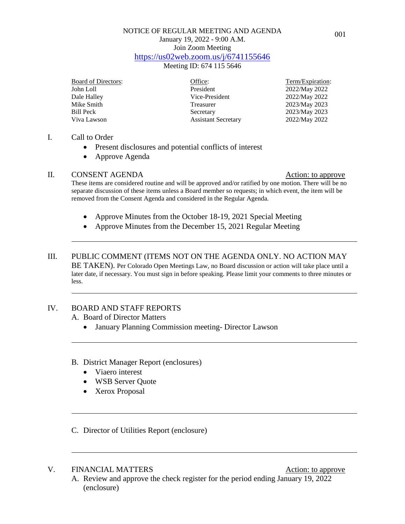## NOTICE OF REGULAR MEETING AND AGENDA January 19, 2022 - 9:00 A.M. Join Zoom Meeting <https://us02web.zoom.us/j/6741155646>

Meeting ID: 674 115 5646

| <b>Board of Directors:</b> | Office:                    | Term/Expiration: |
|----------------------------|----------------------------|------------------|
| John Loll                  | President                  | 2022/May 2022    |
| Dale Halley                | Vice-President             | 2022/May 2022    |
| Mike Smith                 | Treasurer                  | 2023/May 2023    |
| Bill Peck                  | Secretary                  | 2023/May 2023    |
| Viva Lawson                | <b>Assistant Secretary</b> | 2022/May 2022    |

#### I. Call to Order

- Present disclosures and potential conflicts of interest
- Approve Agenda

#### II. CONSENT AGENDA Action: to approve

These items are considered routine and will be approved and/or ratified by one motion. There will be no separate discussion of these items unless a Board member so requests; in which event, the item will be removed from the Consent Agenda and considered in the Regular Agenda.

- Approve Minutes from the October 18-19, 2021 Special Meeting
- Approve Minutes from the December 15, 2021 Regular Meeting

#### III. PUBLIC COMMENT (ITEMS NOT ON THE AGENDA ONLY. NO ACTION MAY BE TAKEN). Per Colorado Open Meetings Law, no Board discussion or action will take place until a later date, if necessary. You must sign in before speaking. Please limit your comments to three minutes or less.

## IV. BOARD AND STAFF REPORTS

A. Board of Director Matters

- January Planning Commission meeting- Director Lawson
- B. District Manager Report (enclosures)
	- Viaero interest
	- WSB Server Quote
	- Xerox Proposal
- C. Director of Utilities Report (enclosure)

#### V. FINANCIAL MATTERS Action: to approve

A. Review and approve the check register for the period ending January 19, 2022 (enclosure)